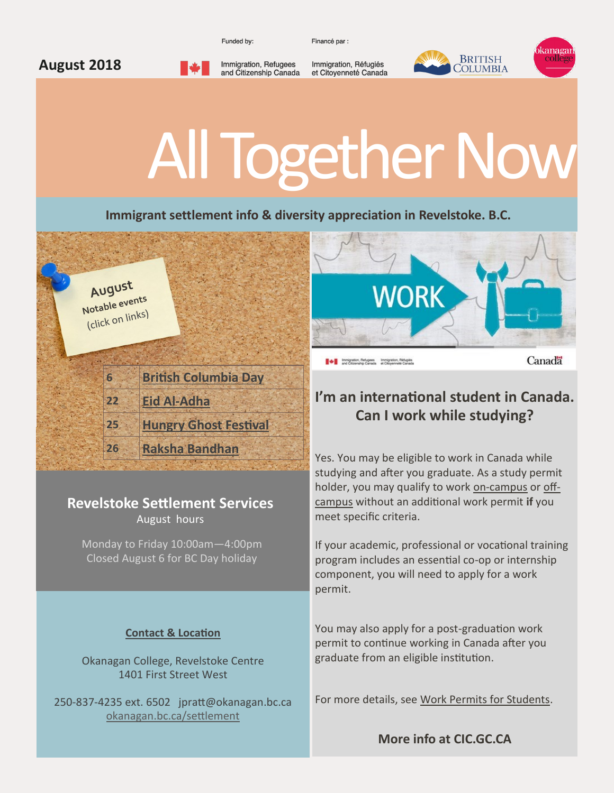Funded by:

Immigration, Refugees

and Citizenship Canada

Financé par :

Immigration, Réfugiés

et Citoyenneté Canada



# All Together Now

**Immigrant settlement info & diversity appreciation in Revelstoke. B.C.**



**August 2018**

## **Revelstoke Settlement Services**

August hours

Monday to Friday 10:00am—4:00pm Closed August 6 for BC Day holiday

### **Contact & Location**

Okanagan College, Revelstoke Centre 1401 First Street West

250-837-4235 ext. 6502 jpratt@okanagan.bc.ca [okanagan.bc.ca/settlement](http://www.okanagan.bc.ca/Page35730.aspx)



#### A Immigration, Refugees Immigration, Réfugiés

Canadä

## **I'm an international student in Canada. Can I work while studying?**

Yes. You may be eligible to work in Canada while studying and after you graduate. As a study permit holder, you may qualify to work on-[campus](https://www.canada.ca/en/immigration-refugees-citizenship/services/study-canada/work/work-on-campus.html) or [off](https://www.canada.ca/en/immigration-refugees-citizenship/services/study-canada/work/work-off-campus.html)[campus](https://www.canada.ca/en/immigration-refugees-citizenship/services/study-canada/work/work-off-campus.html) without an additional work permit **if** you meet specific criteria.

If your academic, professional or vocational training program includes an essential co-op or internship component, you will need to apply for a work permit.

You may also apply for a post-graduation work permit to continue working in Canada after you graduate from an eligible institution.

For more details, see [Work Permits for Students.](https://www.canada.ca/en/immigration-refugees-citizenship/services/study-canada/work.html)

**More info at CIC.GC.CA**